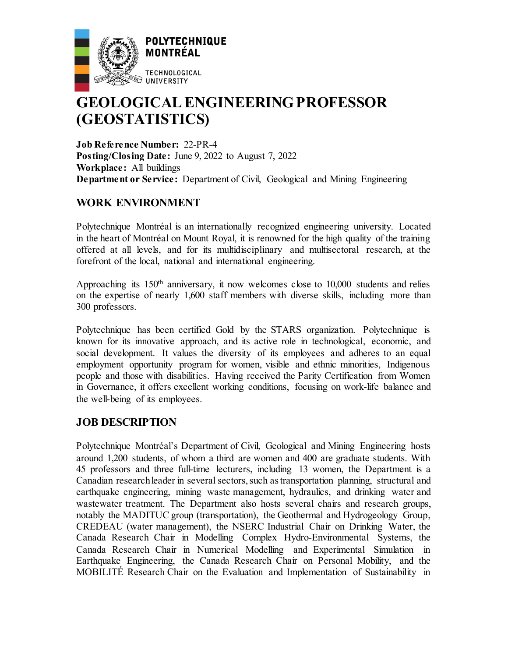

# **GEOLOGICAL ENGINEERING PROFESSOR (GEOSTATISTICS)**

**Job Reference Number:** 22-PR-4 **Posting/Closing Date:** June 9, 2022 to August 7, 2022 **Workplace:** All buildings **Department or Service:** Department of Civil, Geological and Mining Engineering

## **WORK ENVIRONMENT**

Polytechnique Montréal is an internationally recognized engineering university. Located in the heart of Montréal on Mount Royal, it is renowned for the high quality of the training offered at all levels, and for its multidisciplinary and multisectoral research, at the forefront of the local, national and international engineering.

Approaching its 150th anniversary, it now welcomes close to 10,000 students and relies on the expertise of nearly 1,600 staff members with diverse skills, including more than 300 professors.

Polytechnique has been certified Gold by the STARS organization. Polytechnique is known for its innovative approach, and its active role in technological, economic, and social development. It values the diversity of its employees and adheres to an equal employment opportunity program for women, visible and ethnic minorities, Indigenous people and those with disabilities. Having received the Parity Certification from Women in Governance, it offers excellent working conditions, focusing on work-life balance and the well-being of its employees.

## **JOB DESCRIPTION**

Polytechnique Montréal's Department of Civil, Geological and Mining Engineering hosts around 1,200 students, of whom a third are women and 400 are graduate students. With 45 professors and three full-time lecturers, including 13 women, the Department is a Canadian research leader in several sectors, such as transportation planning, structural and earthquake engineering, mining waste management, hydraulics, and drinking water and wastewater treatment. The Department also hosts several chairs and research groups, notably the MADITUC group (transportation), the Geothermal and Hydrogeology Group, CREDEAU (water management), the NSERC Industrial Chair on Drinking Water, the Canada Research Chair in Modelling Complex Hydro-Environmental Systems, the Canada Research Chair in Numerical Modelling and Experimental Simulation in Earthquake Engineering, the Canada Research Chair on Personal Mobility, and the MOBILITÉ Research Chair on the Evaluation and Implementation of Sustainability in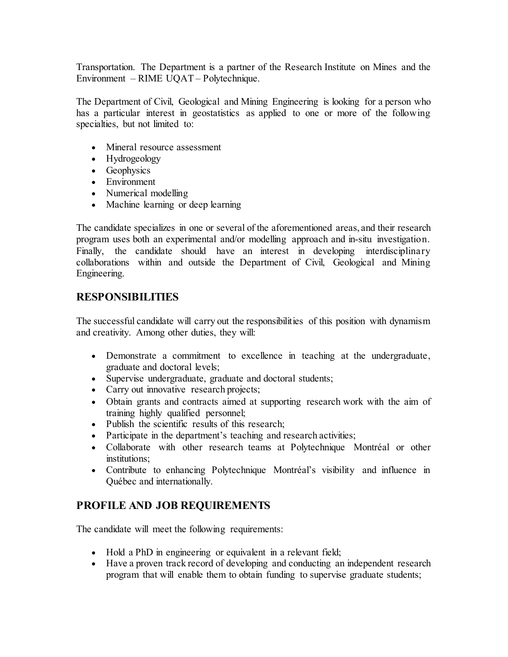Transportation. The Department is a partner of the Research Institute on Mines and the Environment – RIME UQAT – Polytechnique.

The Department of Civil, Geological and Mining Engineering is looking for a person who has a particular interest in geostatistics as applied to one or more of the following specialties, but not limited to:

- Mineral resource assessment
- Hydrogeology
- Geophysics
- Environment
- Numerical modelling
- Machine learning or deep learning

The candidate specializes in one or several of the aforementioned areas, and their research program uses both an experimental and/or modelling approach and in-situ investigation. Finally, the candidate should have an interest in developing interdisciplinary collaborations within and outside the Department of Civil, Geological and Mining Engineering.

#### **RESPONSIBILITIES**

The successful candidate will carry out the responsibilities of this position with dynamism and creativity. Among other duties, they will:

- Demonstrate a commitment to excellence in teaching at the undergraduate, graduate and doctoral levels;
- Supervise undergraduate, graduate and doctoral students;
- Carry out innovative research projects;
- Obtain grants and contracts aimed at supporting research work with the aim of training highly qualified personnel;
- Publish the scientific results of this research;
- Participate in the department's teaching and research activities;
- Collaborate with other research teams at Polytechnique Montréal or other institutions:
- Contribute to enhancing Polytechnique Montréal's visibility and influence in Québec and internationally.

## **PROFILE AND JOB REQUIREMENTS**

The candidate will meet the following requirements:

- Hold a PhD in engineering or equivalent in a relevant field;
- Have a proven track record of developing and conducting an independent research program that will enable them to obtain funding to supervise graduate students;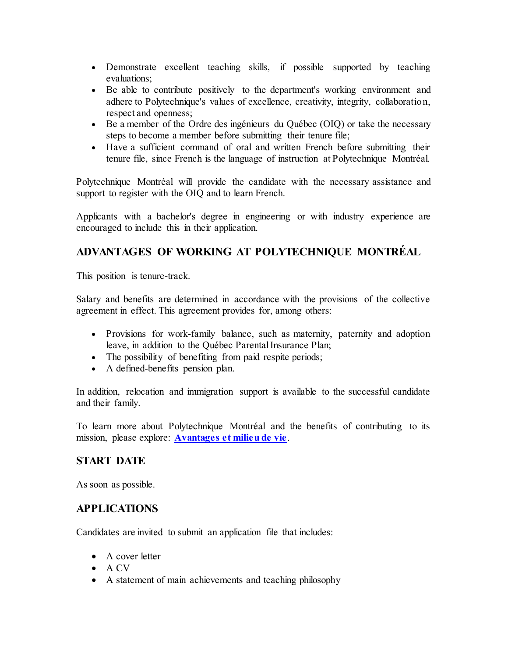- Demonstrate excellent teaching skills, if possible supported by teaching evaluations;
- Be able to contribute positively to the department's working environment and adhere to Polytechnique's values of excellence, creativity, integrity, collaboration, respect and openness;
- Be a member of the Ordre des ingénieurs du Québec (OIQ) or take the necessary steps to become a member before submitting their tenure file;
- Have a sufficient command of oral and written French before submitting their tenure file, since French is the language of instruction at Polytechnique Montréal.

Polytechnique Montréal will provide the candidate with the necessary assistance and support to register with the OIQ and to learn French.

Applicants with a bachelor's degree in engineering or with industry experience are encouraged to include this in their application.

## **ADVANTAGES OF WORKING AT POLYTECHNIQUE MONTRÉAL**

This position is tenure-track.

Salary and benefits are determined in accordance with the provisions of the collective agreement in effect. This agreement provides for, among others:

- Provisions for work-family balance, such as maternity, paternity and adoption leave, in addition to the Québec Parental Insurance Plan;
- The possibility of benefiting from paid respite periods;
- A defined-benefits pension plan.

In addition, relocation and immigration support is available to the successful candidate and their family.

To learn more about Polytechnique Montréal and the benefits of contributing to its mission, please explore: **[Avantages et milieu de vie](https://www.polymtl.ca/carriere/avantages-et-milieu-de-vie)**.

#### **START DATE**

As soon as possible.

#### **APPLICATIONS**

Candidates are invited to submit an application file that includes:

- A cover letter
- A CV
- A statement of main achievements and teaching philosophy